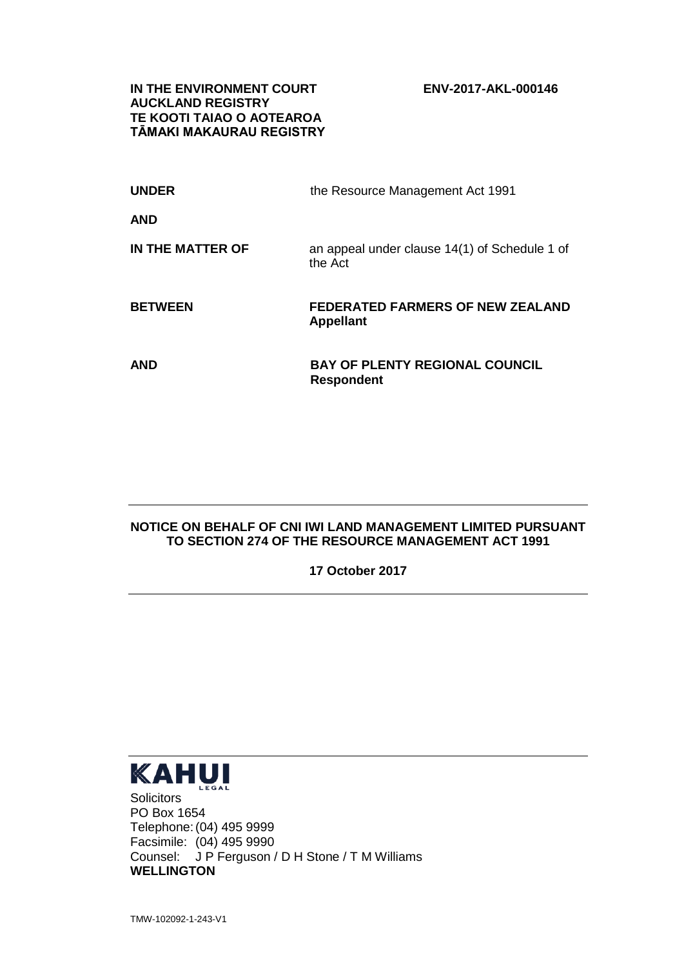**IN THE ENVIRONMENT COURT ENV-2017-AKL-000146 AUCKLAND REGISTRY TE KOOTI TAIAO O AOTEAROA TĀMAKI MAKAURAU REGISTRY**

| <b>UNDER</b>     | the Resource Management Act 1991                            |
|------------------|-------------------------------------------------------------|
| <b>AND</b>       |                                                             |
| IN THE MATTER OF | an appeal under clause 14(1) of Schedule 1 of<br>the Act    |
| <b>BETWEEN</b>   | <b>FEDERATED FARMERS OF NEW ZEALAND</b><br><b>Appellant</b> |
| <b>AND</b>       | <b>BAY OF PLENTY REGIONAL COUNCIL</b><br><b>Respondent</b>  |

## **NOTICE ON BEHALF OF CNI IWI LAND MANAGEMENT LIMITED PURSUANT TO SECTION 274 OF THE RESOURCE MANAGEMENT ACT 1991**

**17 October 2017**



**Solicitors** PO Box 1654 Telephone:(04) 495 9999 Facsimile: (04) 495 9990 Counsel: J P Ferguson / D H Stone / T M Williams **WELLINGTON**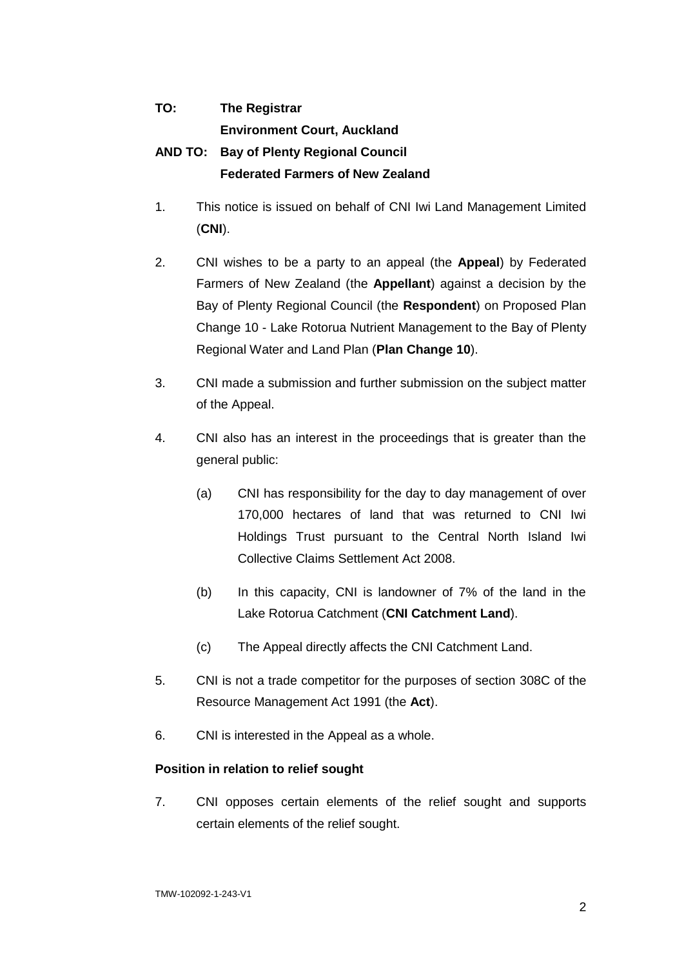## **TO: The Registrar Environment Court, Auckland AND TO: Bay of Plenty Regional Council Federated Farmers of New Zealand**

- 1. This notice is issued on behalf of CNI Iwi Land Management Limited (**CNI**).
- 2. CNI wishes to be a party to an appeal (the **Appeal**) by Federated Farmers of New Zealand (the **Appellant**) against a decision by the Bay of Plenty Regional Council (the **Respondent**) on Proposed Plan Change 10 - Lake Rotorua Nutrient Management to the Bay of Plenty Regional Water and Land Plan (**Plan Change 10**).
- 3. CNI made a submission and further submission on the subject matter of the Appeal.
- 4. CNI also has an interest in the proceedings that is greater than the general public:
	- (a) CNI has responsibility for the day to day management of over 170,000 hectares of land that was returned to CNI Iwi Holdings Trust pursuant to the Central North Island Iwi Collective Claims Settlement Act 2008.
	- (b) In this capacity, CNI is landowner of 7% of the land in the Lake Rotorua Catchment (**CNI Catchment Land**).
	- (c) The Appeal directly affects the CNI Catchment Land.
- 5. CNI is not a trade competitor for the purposes of section 308C of the Resource Management Act 1991 (the **Act**).
- 6. CNI is interested in the Appeal as a whole.

## **Position in relation to relief sought**

7. CNI opposes certain elements of the relief sought and supports certain elements of the relief sought.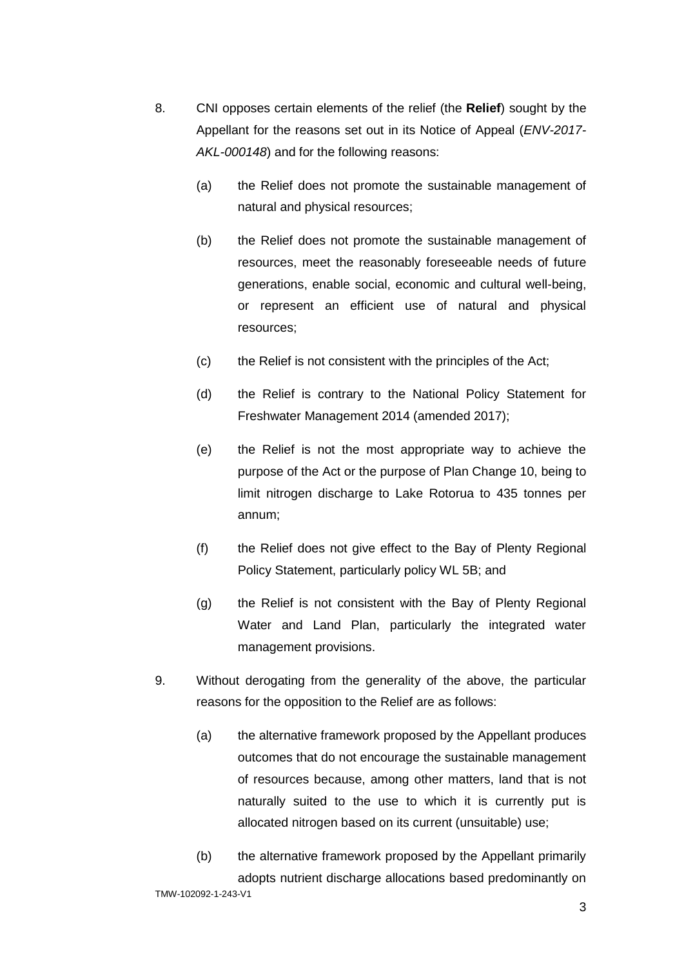- 8. CNI opposes certain elements of the relief (the **Relief**) sought by the Appellant for the reasons set out in its Notice of Appeal (*ENV-2017- AKL-000148*) and for the following reasons:
	- (a) the Relief does not promote the sustainable management of natural and physical resources;
	- (b) the Relief does not promote the sustainable management of resources, meet the reasonably foreseeable needs of future generations, enable social, economic and cultural well-being, or represent an efficient use of natural and physical resources;
	- (c) the Relief is not consistent with the principles of the Act;
	- (d) the Relief is contrary to the National Policy Statement for Freshwater Management 2014 (amended 2017);
	- (e) the Relief is not the most appropriate way to achieve the purpose of the Act or the purpose of Plan Change 10, being to limit nitrogen discharge to Lake Rotorua to 435 tonnes per annum;
	- (f) the Relief does not give effect to the Bay of Plenty Regional Policy Statement, particularly policy WL 5B; and
	- (g) the Relief is not consistent with the Bay of Plenty Regional Water and Land Plan, particularly the integrated water management provisions.
- 9. Without derogating from the generality of the above, the particular reasons for the opposition to the Relief are as follows:
	- (a) the alternative framework proposed by the Appellant produces outcomes that do not encourage the sustainable management of resources because, among other matters, land that is not naturally suited to the use to which it is currently put is allocated nitrogen based on its current (unsuitable) use;
- TMW-102092-1-243-V1 (b) the alternative framework proposed by the Appellant primarily adopts nutrient discharge allocations based predominantly on